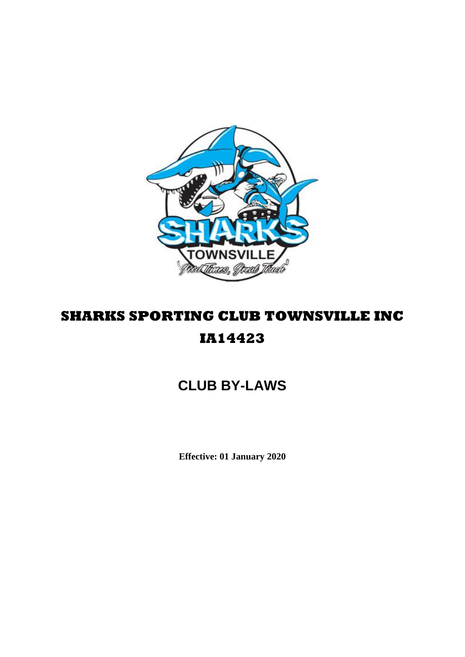

## **SHARKS SPORTING CLUB TOWNSVILLE INC IA14423**

## **CLUB BY-LAWS**

**Effective: 01 January 2020**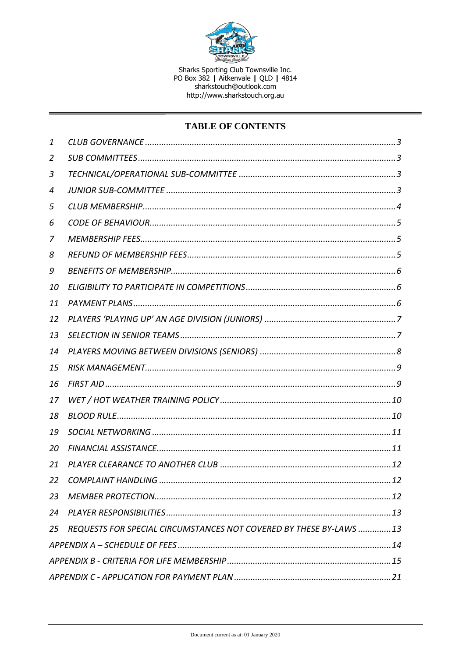

#### **TABLE OF CONTENTS**

| 1  |                                                                     |  |
|----|---------------------------------------------------------------------|--|
| 2  |                                                                     |  |
| 3  |                                                                     |  |
| 4  |                                                                     |  |
| 5  |                                                                     |  |
| 6  |                                                                     |  |
| 7  |                                                                     |  |
| 8  |                                                                     |  |
| 9  |                                                                     |  |
| 10 |                                                                     |  |
| 11 |                                                                     |  |
| 12 |                                                                     |  |
| 13 |                                                                     |  |
| 14 |                                                                     |  |
| 15 |                                                                     |  |
| 16 |                                                                     |  |
| 17 |                                                                     |  |
| 18 |                                                                     |  |
| 19 |                                                                     |  |
| 20 |                                                                     |  |
| 21 |                                                                     |  |
| 22 |                                                                     |  |
| 23 |                                                                     |  |
| 24 |                                                                     |  |
| 25 | REQUESTS FOR SPECIAL CIRCUMSTANCES NOT COVERED BY THESE BY-LAWS  13 |  |
|    |                                                                     |  |
|    |                                                                     |  |
|    |                                                                     |  |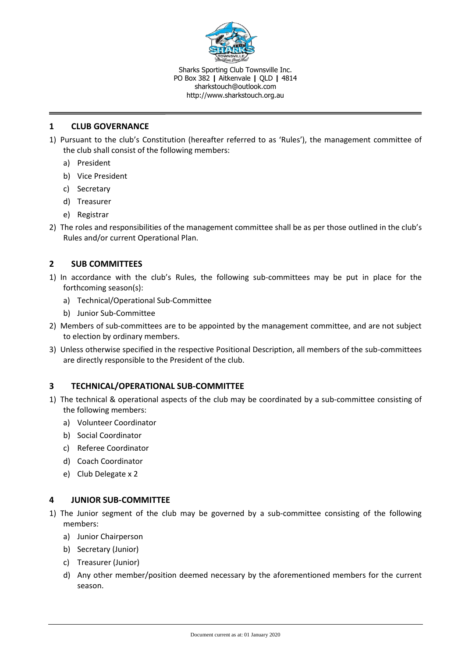

#### **1 CLUB GOVERNANCE**

- 1) Pursuant to the club's Constitution (hereafter referred to as 'Rules'), the management committee of the club shall consist of the following members:
	- a) President
	- b) Vice President
	- c) Secretary
	- d) Treasurer
	- e) Registrar
- 2) The roles and responsibilities of the management committee shall be as per those outlined in the club's Rules and/or current Operational Plan.

#### **2 SUB COMMITTEES**

- 1) In accordance with the club's Rules, the following sub-committees may be put in place for the forthcoming season(s):
	- a) Technical/Operational Sub-Committee
	- b) Junior Sub-Committee
- 2) Members of sub-committees are to be appointed by the management committee, and are not subject to election by ordinary members.
- 3) Unless otherwise specified in the respective Positional Description, all members of the sub-committees are directly responsible to the President of the club.

#### **3 TECHNICAL/OPERATIONAL SUB-COMMITTEE**

- 1) The technical & operational aspects of the club may be coordinated by a sub-committee consisting of the following members:
	- a) Volunteer Coordinator
	- b) Social Coordinator
	- c) Referee Coordinator
	- d) Coach Coordinator
	- e) Club Delegate x 2

#### **4 JUNIOR SUB-COMMITTEE**

- 1) The Junior segment of the club may be governed by a sub-committee consisting of the following members:
	- a) Junior Chairperson
	- b) Secretary (Junior)
	- c) Treasurer (Junior)
	- d) Any other member/position deemed necessary by the aforementioned members for the current season.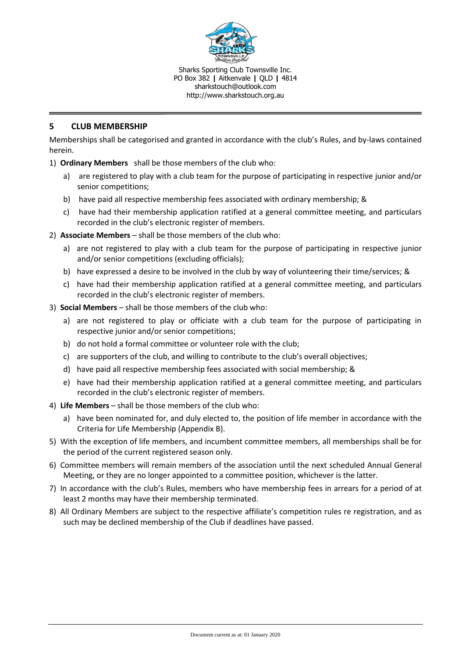

#### **5 CLUB MEMBERSHIP**

Memberships shall be categorised and granted in accordance with the club's Rules, and by-laws contained herein.

- 1) **Ordinary Members** shall be those members of the club who:
	- a) are registered to play with a club team for the purpose of participating in respective junior and/or senior competitions;
	- b) have paid all respective membership fees associated with ordinary membership; &
	- c) have had their membership application ratified at a general committee meeting, and particulars recorded in the club's electronic register of members.
- 2) **Associate Members** shall be those members of the club who:
	- a) are not registered to play with a club team for the purpose of participating in respective junior and/or senior competitions (excluding officials);
	- b) have expressed a desire to be involved in the club by way of volunteering their time/services; &
	- c) have had their membership application ratified at a general committee meeting, and particulars recorded in the club's electronic register of members.
- 3) **Social Members** shall be those members of the club who:
	- a) are not registered to play or officiate with a club team for the purpose of participating in respective junior and/or senior competitions;
	- b) do not hold a formal committee or volunteer role with the club;
	- c) are supporters of the club, and willing to contribute to the club's overall objectives;
	- d) have paid all respective membership fees associated with social membership; &
	- e) have had their membership application ratified at a general committee meeting, and particulars recorded in the club's electronic register of members.
- 4) **Life Members** shall be those members of the club who:
	- a) have been nominated for, and duly elected to, the position of life member in accordance with the Criteria for Life Membership (Appendix B).
- 5) With the exception of life members, and incumbent committee members, all memberships shall be for the period of the current registered season only.
- 6) Committee members will remain members of the association until the next scheduled Annual General Meeting, or they are no longer appointed to a committee position, whichever is the latter.
- 7) In accordance with the club's Rules, members who have membership fees in arrears for a period of at least 2 months may have their membership terminated.
- 8) All Ordinary Members are subject to the respective affiliate's competition rules re registration, and as such may be declined membership of the Club if deadlines have passed.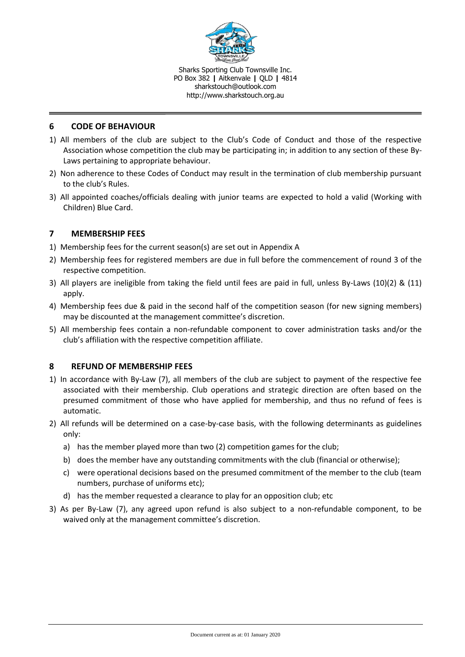

#### **6 CODE OF BEHAVIOUR**

- 1) All members of the club are subject to the Club's Code of Conduct and those of the respective Association whose competition the club may be participating in; in addition to any section of these By-Laws pertaining to appropriate behaviour.
- 2) Non adherence to these Codes of Conduct may result in the termination of club membership pursuant to the club's Rules.
- 3) All appointed coaches/officials dealing with junior teams are expected to hold a valid (Working with Children) [Blue Card.](http://www.bluecard.qld.gov.au/volunteers/index.html)

#### **7 MEMBERSHIP FEES**

- 1) Membership fees for the current season(s) are set out in Appendix A
- 2) Membership fees for registered members are due in full before the commencement of round 3 of the respective competition.
- 3) All players are ineligible from taking the field until fees are paid in full, unless By-Laws (10)(2) & (11) apply.
- 4) Membership fees due & paid in the second half of the competition season (for new signing members) may be discounted at the management committee's discretion.
- 5) All membership fees contain a non-refundable component to cover administration tasks and/or the club's affiliation with the respective competition affiliate.

#### **8 REFUND OF MEMBERSHIP FEES**

- 1) In accordance with By-Law (7), all members of the club are subject to payment of the respective fee associated with their membership. Club operations and strategic direction are often based on the presumed commitment of those who have applied for membership, and thus no refund of fees is automatic.
- 2) All refunds will be determined on a case-by-case basis, with the following determinants as guidelines only:
	- a) has the member played more than two (2) competition games for the club;
	- b) does the member have any outstanding commitments with the club (financial or otherwise);
	- c) were operational decisions based on the presumed commitment of the member to the club (team numbers, purchase of uniforms etc);
	- d) has the member requested a clearance to play for an opposition club; etc
- 3) As per By-Law (7), any agreed upon refund is also subject to a non-refundable component, to be waived only at the management committee's discretion.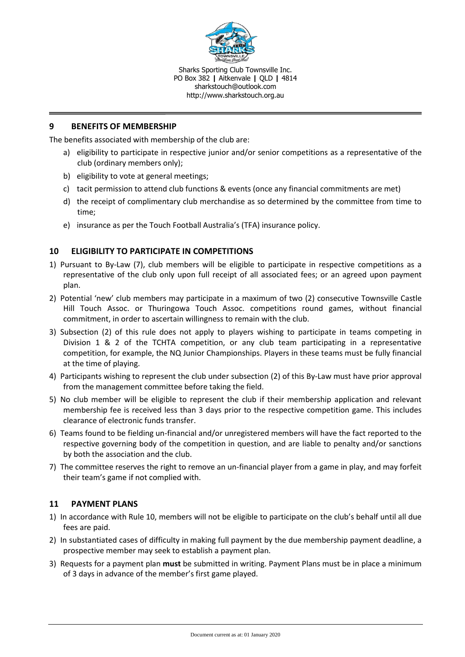

#### **9 BENEFITS OF MEMBERSHIP**

The benefits associated with membership of the club are:

- a) eligibility to participate in respective junior and/or senior competitions as a representative of the club (ordinary members only);
- b) eligibility to vote at general meetings;
- c) tacit permission to attend club functions & events (once any financial commitments are met)
- d) the receipt of complimentary club merchandise as so determined by the committee from time to time;
- e) insurance as per the Touch Football Australia's (TFA) insurance policy.

#### **10 ELIGIBILITY TO PARTICIPATE IN COMPETITIONS**

- 1) Pursuant to By-Law (7), club members will be eligible to participate in respective competitions as a representative of the club only upon full receipt of all associated fees; or an agreed upon payment plan.
- 2) Potential 'new' club members may participate in a maximum of two (2) consecutive Townsville Castle Hill Touch Assoc. or Thuringowa Touch Assoc. competitions round games, without financial commitment, in order to ascertain willingness to remain with the club.
- 3) Subsection (2) of this rule does not apply to players wishing to participate in teams competing in Division 1 & 2 of the TCHTA competition, or any club team participating in a representative competition, for example, the NQ Junior Championships. Players in these teams must be fully financial at the time of playing.
- 4) Participants wishing to represent the club under subsection (2) of this By-Law must have prior approval from the management committee before taking the field.
- 5) No club member will be eligible to represent the club if their membership application and relevant membership fee is received less than 3 days prior to the respective competition game. This includes clearance of electronic funds transfer.
- 6) Teams found to be fielding un-financial and/or unregistered members will have the fact reported to the respective governing body of the competition in question, and are liable to penalty and/or sanctions by both the association and the club.
- 7) The committee reserves the right to remove an un-financial player from a game in play, and may forfeit their team's game if not complied with.

#### **11 PAYMENT PLANS**

- 1) In accordance with Rule 10, members will not be eligible to participate on the club's behalf until all due fees are paid.
- 2) In substantiated cases of difficulty in making full payment by the due membership payment deadline, a prospective member may seek to establish a payment plan.
- 3) Requests for a payment plan **must** be submitted in writing. Payment Plans must be in place a minimum of 3 days in advance of the member's first game played.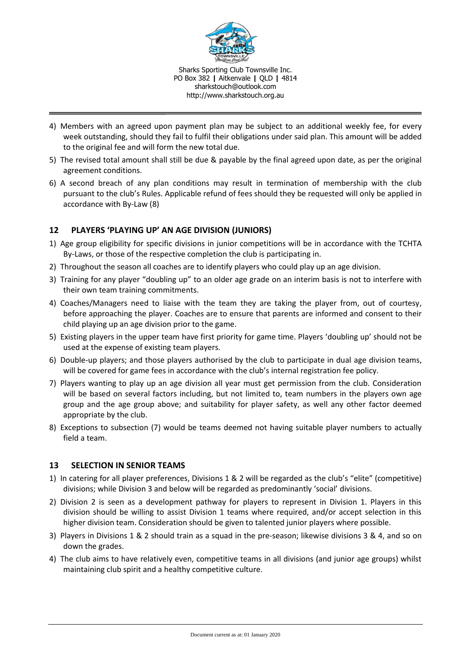

- 4) Members with an agreed upon payment plan may be subject to an additional weekly fee, for every week outstanding, should they fail to fulfil their obligations under said plan. This amount will be added to the original fee and will form the new total due.
- 5) The revised total amount shall still be due & payable by the final agreed upon date, as per the original agreement conditions.
- 6) A second breach of any plan conditions may result in termination of membership with the club pursuant to the club's Rules. Applicable refund of fees should they be requested will only be applied in accordance with By-Law (8)

#### **12 PLAYERS 'PLAYING UP' AN AGE DIVISION (JUNIORS)**

- 1) Age group eligibility for specific divisions in junior competitions will be in accordance with the TCHTA By-Laws, or those of the respective completion the club is participating in.
- 2) Throughout the season all coaches are to identify players who could play up an age division.
- 3) Training for any player "doubling up" to an older age grade on an interim basis is not to interfere with their own team training commitments.
- 4) Coaches/Managers need to liaise with the team they are taking the player from, out of courtesy, before approaching the player. Coaches are to ensure that parents are informed and consent to their child playing up an age division prior to the game.
- 5) Existing players in the upper team have first priority for game time. Players 'doubling up' should not be used at the expense of existing team players.
- 6) Double-up players; and those players authorised by the club to participate in dual age division teams, will be covered for game fees in accordance with the club's internal registration fee policy.
- 7) Players wanting to play up an age division all year must get permission from the club. Consideration will be based on several factors including, but not limited to, team numbers in the players own age group and the age group above; and suitability for player safety, as well any other factor deemed appropriate by the club.
- 8) Exceptions to subsection (7) would be teams deemed not having suitable player numbers to actually field a team.

#### **13 SELECTION IN SENIOR TEAMS**

- 1) In catering for all player preferences, Divisions 1 & 2 will be regarded as the club's "elite" (competitive) divisions; while Division 3 and below will be regarded as predominantly 'social' divisions.
- 2) Division 2 is seen as a development pathway for players to represent in Division 1. Players in this division should be willing to assist Division 1 teams where required, and/or accept selection in this higher division team. Consideration should be given to talented junior players where possible.
- 3) Players in Divisions 1 & 2 should train as a squad in the pre-season; likewise divisions 3 & 4, and so on down the grades.
- 4) The club aims to have relatively even, competitive teams in all divisions (and junior age groups) whilst maintaining club spirit and a healthy competitive culture.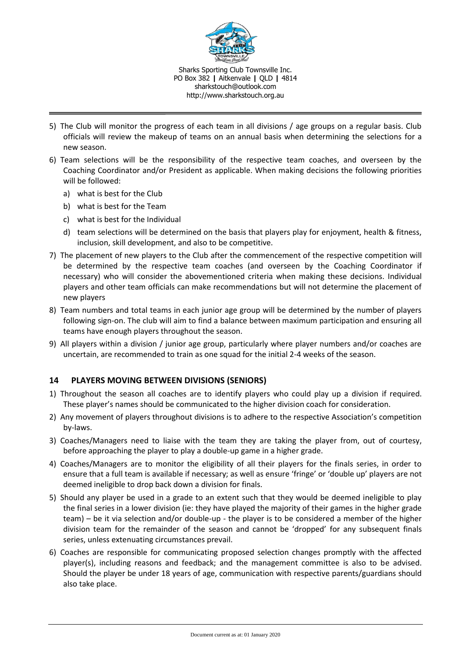

- 5) The Club will monitor the progress of each team in all divisions / age groups on a regular basis. Club officials will review the makeup of teams on an annual basis when determining the selections for a new season.
- 6) Team selections will be the responsibility of the respective team coaches, and overseen by the Coaching Coordinator and/or President as applicable. When making decisions the following priorities will be followed:
	- a) what is best for the Club
	- b) what is best for the Team
	- c) what is best for the Individual
	- d) team selections will be determined on the basis that players play for enjoyment, health & fitness, inclusion, skill development, and also to be competitive.
- 7) The placement of new players to the Club after the commencement of the respective competition will be determined by the respective team coaches (and overseen by the Coaching Coordinator if necessary) who will consider the abovementioned criteria when making these decisions. Individual players and other team officials can make recommendations but will not determine the placement of new players
- 8) Team numbers and total teams in each junior age group will be determined by the number of players following sign-on. The club will aim to find a balance between maximum participation and ensuring all teams have enough players throughout the season.
- 9) All players within a division / junior age group, particularly where player numbers and/or coaches are uncertain, are recommended to train as one squad for the initial 2-4 weeks of the season.

#### **14 PLAYERS MOVING BETWEEN DIVISIONS (SENIORS)**

- 1) Throughout the season all coaches are to identify players who could play up a division if required. These player's names should be communicated to the higher division coach for consideration.
- 2) Any movement of players throughout divisions is to adhere to the respective Association's competition by-laws.
- 3) Coaches/Managers need to liaise with the team they are taking the player from, out of courtesy, before approaching the player to play a double-up game in a higher grade.
- 4) Coaches/Managers are to monitor the eligibility of all their players for the finals series, in order to ensure that a full team is available if necessary; as well as ensure 'fringe' or 'double up' players are not deemed ineligible to drop back down a division for finals.
- 5) Should any player be used in a grade to an extent such that they would be deemed ineligible to play the final series in a lower division (ie: they have played the majority of their games in the higher grade team) – be it via selection and/or double-up - the player is to be considered a member of the higher division team for the remainder of the season and cannot be 'dropped' for any subsequent finals series, unless extenuating circumstances prevail.
- 6) Coaches are responsible for communicating proposed selection changes promptly with the affected player(s), including reasons and feedback; and the management committee is also to be advised. Should the player be under 18 years of age, communication with respective parents/guardians should also take place.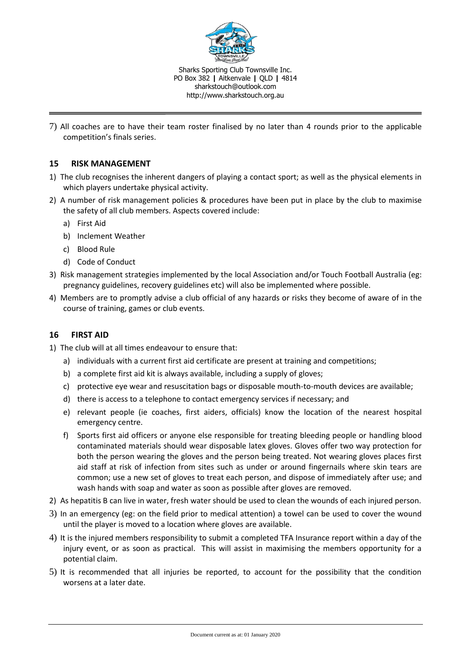

7) All coaches are to have their team roster finalised by no later than 4 rounds prior to the applicable competition's finals series.

#### **15 RISK MANAGEMENT**

- 1) The club recognises the inherent dangers of playing a contact sport; as well as the physical elements in which players undertake physical activity.
- 2) A number of risk management policies & procedures have been put in place by the club to maximise the safety of all club members. Aspects covered include:
	- a) First Aid
	- b) Inclement Weather
	- c) Blood Rule
	- d) Code of Conduct
- 3) Risk management strategies implemented by the local Association and/or Touch Football Australia (eg: pregnancy guidelines, recovery guidelines etc) will also be implemented where possible.
- 4) Members are to promptly advise a club official of any hazards or risks they become of aware of in the course of training, games or club events.

#### **16 FIRST AID**

- 1) The club will at all times endeavour to ensure that:
	- a) individuals with a current first aid certificate are present at training and competitions;
	- b) a complete first aid kit is always available, including a supply of gloves;
	- c) protective eye wear and resuscitation bags or disposable mouth-to-mouth devices are available;
	- d) there is access to a telephone to contact emergency services if necessary; and
	- e) relevant people (ie coaches, first aiders, officials) know the location of the nearest hospital emergency centre.
	- f) Sports first aid officers or anyone else responsible for treating bleeding people or handling blood contaminated materials should wear disposable latex gloves. Gloves offer two way protection for both the person wearing the gloves and the person being treated. Not wearing gloves places first aid staff at risk of infection from sites such as under or around fingernails where skin tears are common; use a new set of gloves to treat each person, and dispose of immediately after use; and wash hands with soap and water as soon as possible after gloves are removed.
- 2) As hepatitis B can live in water, fresh water should be used to clean the wounds of each injured person.
- 3) In an emergency (eg: on the field prior to medical attention) a towel can be used to cover the wound until the player is moved to a location where gloves are available.
- 4) It is the injured members responsibility to submit a completed TFA Insurance report within a day of the injury event, or as soon as practical. This will assist in maximising the members opportunity for a potential claim.
- 5) It is recommended that all injuries be reported, to account for the possibility that the condition worsens at a later date.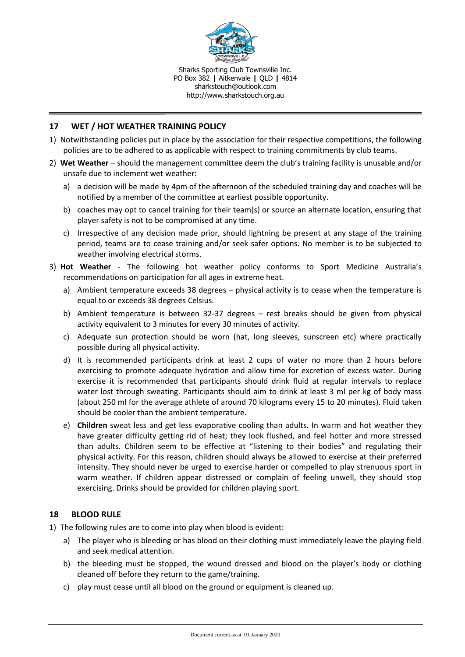

#### **17 WET / HOT WEATHER TRAINING POLICY**

- 1) Notwithstanding policies put in place by the association for their respective competitions, the following policies are to be adhered to as applicable with respect to training commitments by club teams.
- 2) **Wet Weather** should the management committee deem the club's training facility is unusable and/or unsafe due to inclement wet weather:
	- a) a decision will be made by 4pm of the afternoon of the scheduled training day and coaches will be notified by a member of the committee at earliest possible opportunity.
	- b) coaches may opt to cancel training for their team(s) or source an alternate location, ensuring that player safety is not to be compromised at any time.
	- c) Irrespective of any decision made prior, should lightning be present at any stage of the training period, teams are to cease training and/or seek safer options. No member is to be subjected to weather involving electrical storms.
- 3) **Hot Weather** The following hot weather policy conforms to Sport Medicine Australia's recommendations on participation for all ages in extreme heat.
	- a) Ambient temperature exceeds 38 degrees physical activity is to cease when the temperature is equal to or exceeds 38 degrees Celsius.
	- b) Ambient temperature is between 32-37 degrees rest breaks should be given from physical activity equivalent to 3 minutes for every 30 minutes of activity.
	- c) Adequate sun protection should be worn (hat, long sleeves, sunscreen etc) where practically possible during all physical activity.
	- d) It is recommended participants drink at least 2 cups of water no more than 2 hours before exercising to promote adequate hydration and allow time for excretion of excess water. During exercise it is recommended that participants should drink fluid at regular intervals to replace water lost through sweating. Participants should aim to drink at least 3 ml per kg of body mass (about 250 ml for the average athlete of around 70 kilograms every 15 to 20 minutes). Fluid taken should be cooler than the ambient temperature.
	- e) **Children** sweat less and get less evaporative cooling than adults. In warm and hot weather they have greater difficulty getting rid of heat; they look flushed, and feel hotter and more stressed than adults. Children seem to be effective at "listening to their bodies" and regulating their physical activity. For this reason, children should always be allowed to exercise at their preferred intensity. They should never be urged to exercise harder or compelled to play strenuous sport in warm weather. If children appear distressed or complain of feeling unwell, they should stop exercising. Drinks should be provided for children playing sport.

#### **18 BLOOD RULE**

- 1) The following rules are to come into play when blood is evident:
	- a) The player who is bleeding or has blood on their clothing must immediately leave the playing field and seek medical attention.
	- b) the bleeding must be stopped, the wound dressed and blood on the player's body or clothing cleaned off before they return to the game/training.
	- c) play must cease until all blood on the ground or equipment is cleaned up.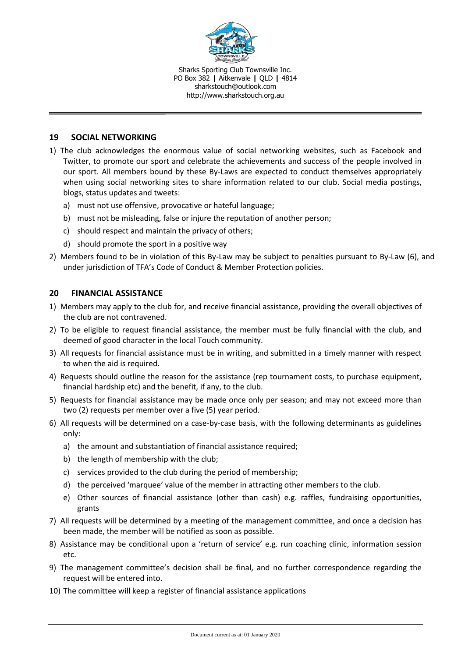

#### **19 SOCIAL NETWORKING**

- 1) The club acknowledges the enormous value of social networking websites, such as Facebook and Twitter, to promote our sport and celebrate the achievements and success of the people involved in our sport. All members bound by these By-Laws are expected to conduct themselves appropriately when using social networking sites to share information related to our club. Social media postings, blogs, status updates and tweets:
	- a) must not use offensive, provocative or hateful language;
	- b) must not be misleading, false or injure the reputation of another person;
	- c) should respect and maintain the privacy of others;
	- d) should promote the sport in a positive way
- 2) Members found to be in violation of this By-Law may be subject to penalties pursuant to By-Law (6), and under jurisdiction of TFA's Code of Conduct & Member Protection policies.

#### **20 FINANCIAL ASSISTANCE**

- 1) Members may apply to the club for, and receive financial assistance, providing the overall objectives of the club are not contravened.
- 2) To be eligible to request financial assistance, the member must be fully financial with the club, and deemed of good character in the local Touch community.
- 3) All requests for financial assistance must be in writing, and submitted in a timely manner with respect to when the aid is required.
- 4) Requests should outline the reason for the assistance (rep tournament costs, to purchase equipment, financial hardship etc) and the benefit, if any, to the club.
- 5) Requests for financial assistance may be made once only per season; and may not exceed more than two (2) requests per member over a five (5) year period.
- 6) All requests will be determined on a case-by-case basis, with the following determinants as guidelines only:
	- a) the amount and substantiation of financial assistance required;
	- b) the length of membership with the club;
	- c) services provided to the club during the period of membership;
	- d) the perceived 'marquee' value of the member in attracting other members to the club.
	- e) Other sources of financial assistance (other than cash) e.g. raffles, fundraising opportunities, grants
- 7) All requests will be determined by a meeting of the management committee, and once a decision has been made, the member will be notified as soon as possible.
- 8) Assistance may be conditional upon a 'return of service' e.g. run coaching clinic, information session etc.
- 9) The management committee's decision shall be final, and no further correspondence regarding the request will be entered into.
- 10) The committee will keep a register of financial assistance applications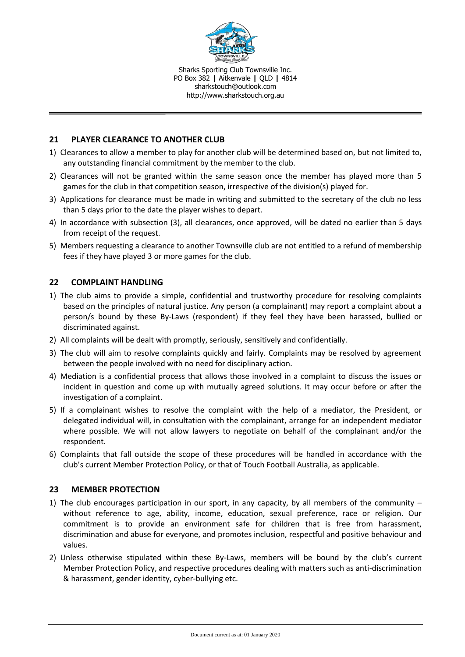

#### **21 PLAYER CLEARANCE TO ANOTHER CLUB**

- 1) Clearances to allow a member to play for another club will be determined based on, but not limited to, any outstanding financial commitment by the member to the club.
- 2) Clearances will not be granted within the same season once the member has played more than 5 games for the club in that competition season, irrespective of the division(s) played for.
- 3) Applications for clearance must be made in writing and submitted to the secretary of the club no less than 5 days prior to the date the player wishes to depart.
- 4) In accordance with subsection (3), all clearances, once approved, will be dated no earlier than 5 days from receipt of the request.
- 5) Members requesting a clearance to another Townsville club are not entitled to a refund of membership fees if they have played 3 or more games for the club.

#### **22 COMPLAINT HANDLING**

- 1) The club aims to provide a simple, confidential and trustworthy procedure for resolving complaints based on the principles of natural justice. Any person (a complainant) may report a complaint about a person/s bound by these By-Laws (respondent) if they feel they have been harassed, bullied or discriminated against.
- 2) All complaints will be dealt with promptly, seriously, sensitively and confidentially.
- 3) The club will aim to resolve complaints quickly and fairly. Complaints may be resolved by agreement between the people involved with no need for disciplinary action.
- 4) Mediation is a confidential process that allows those involved in a complaint to discuss the issues or incident in question and come up with mutually agreed solutions. It may occur before or after the investigation of a complaint.
- 5) If a complainant wishes to resolve the complaint with the help of a mediator, the President, or delegated individual will, in consultation with the complainant, arrange for an independent mediator where possible. We will not allow lawyers to negotiate on behalf of the complainant and/or the respondent.
- 6) Complaints that fall outside the scope of these procedures will be handled in accordance with the club's current Member Protection Policy, or that of Touch Football Australia, as applicable.

#### **23 MEMBER PROTECTION**

- 1) The club encourages participation in our sport, in any capacity, by all members of the community  $$ without reference to age, ability, income, education, sexual preference, race or religion. Our commitment is to provide an environment safe for children that is free from harassment, discrimination and abuse for everyone, and promotes inclusion, respectful and positive behaviour and values.
- 2) Unless otherwise stipulated within these By-Laws, members will be bound by the club's current Member Protection Policy, and respective procedures dealing with matters such as anti-discrimination & harassment, gender identity, cyber-bullying etc.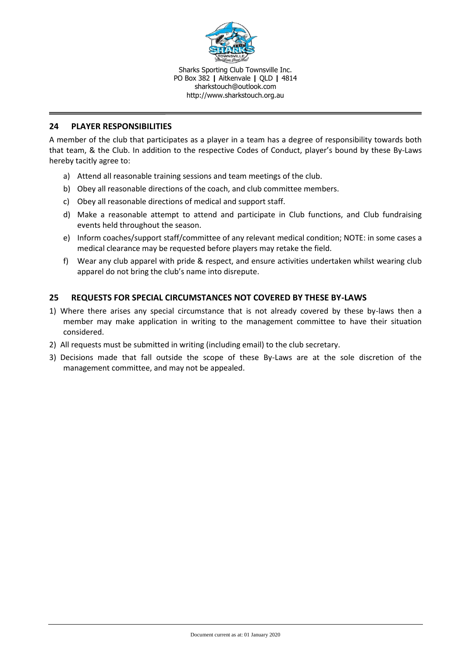

#### **24 PLAYER RESPONSIBILITIES**

A member of the club that participates as a player in a team has a degree of responsibility towards both that team, & the Club. In addition to the respective Codes of Conduct, player's bound by these By-Laws hereby tacitly agree to:

- a) Attend all reasonable training sessions and team meetings of the club.
- b) Obey all reasonable directions of the coach, and club committee members.
- c) Obey all reasonable directions of medical and support staff.
- d) Make a reasonable attempt to attend and participate in Club functions, and Club fundraising events held throughout the season.
- e) Inform coaches/support staff/committee of any relevant medical condition; NOTE: in some cases a medical clearance may be requested before players may retake the field.
- f) Wear any club apparel with pride & respect, and ensure activities undertaken whilst wearing club apparel do not bring the club's name into disrepute.

#### **25 REQUESTS FOR SPECIAL CIRCUMSTANCES NOT COVERED BY THESE BY-LAWS**

- 1) Where there arises any special circumstance that is not already covered by these by-laws then a member may make application in writing to the management committee to have their situation considered.
- 2) All requests must be submitted in writing (including email) to the club secretary.
- 3) Decisions made that fall outside the scope of these By-Laws are at the sole discretion of the management committee, and may not be appealed.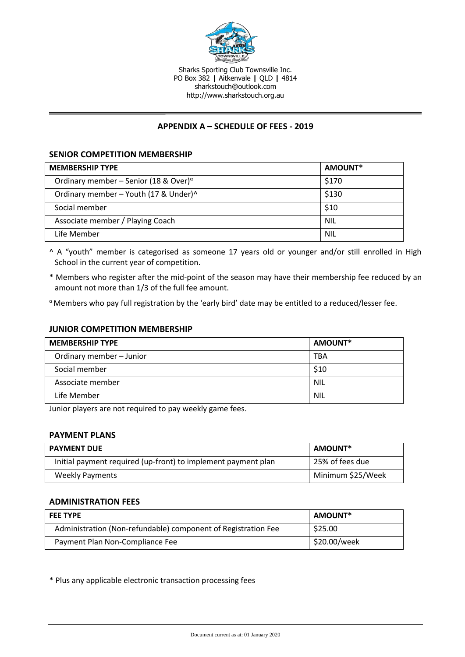

#### **APPENDIX A – SCHEDULE OF FEES - 2019**

#### **SENIOR COMPETITION MEMBERSHIP**

| <b>MEMBERSHIP TYPE</b>                        | AMOUNT*    |
|-----------------------------------------------|------------|
| Ordinary member - Senior (18 & Over) $\alpha$ | \$170      |
| Ordinary member - Youth (17 & Under)^         | \$130      |
| Social member                                 | \$10       |
| Associate member / Playing Coach              | <b>NIL</b> |
| Life Member                                   | <b>NIL</b> |

^ A "youth" member is categorised as someone 17 years old or younger and/or still enrolled in High School in the current year of competition.

\* Members who register after the mid-point of the season may have their membership fee reduced by an amount not more than 1/3 of the full fee amount.

<sup>α</sup> Members who pay full registration by the 'early bird' date may be entitled to a reduced/lesser fee.

#### **JUNIOR COMPETITION MEMBERSHIP**

| <b>MEMBERSHIP TYPE</b>   | AMOUNT*    |
|--------------------------|------------|
| Ordinary member - Junior | TBA        |
| Social member            | \$10       |
| Associate member         | <b>NIL</b> |
| Life Member              | <b>NIL</b> |

Junior players are not required to pay weekly game fees.

#### **PAYMENT PLANS**

| <b>PAYMENT DUE</b>                                            | <b>AMOUNT*</b>    |
|---------------------------------------------------------------|-------------------|
| Initial payment required (up-front) to implement payment plan | 25% of fees due   |
| <b>Weekly Payments</b>                                        | Minimum \$25/Week |

#### **ADMINISTRATION FEES**

| <b>FEE TYPE</b>                                               | AMOUNT*      |
|---------------------------------------------------------------|--------------|
| Administration (Non-refundable) component of Registration Fee | \$25.00      |
| Payment Plan Non-Compliance Fee                               | \$20.00/week |

\* Plus any applicable electronic transaction processing fees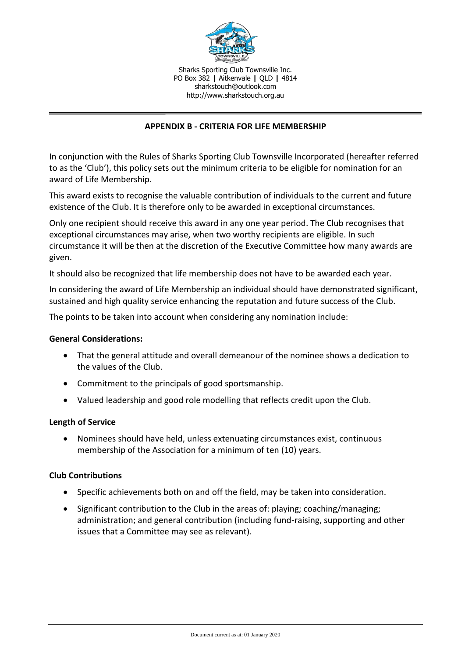

#### **APPENDIX B - CRITERIA FOR LIFE MEMBERSHIP**

In conjunction with the Rules of Sharks Sporting Club Townsville Incorporated (hereafter referred to as the 'Club'), this policy sets out the minimum criteria to be eligible for nomination for an award of Life Membership.

This award exists to recognise the valuable contribution of individuals to the current and future existence of the Club. It is therefore only to be awarded in exceptional circumstances.

Only one recipient should receive this award in any one year period. The Club recognises that exceptional circumstances may arise, when two worthy recipients are eligible. In such circumstance it will be then at the discretion of the Executive Committee how many awards are given.

It should also be recognized that life membership does not have to be awarded each year.

In considering the award of Life Membership an individual should have demonstrated significant, sustained and high quality service enhancing the reputation and future success of the Club.

The points to be taken into account when considering any nomination include:

#### **General Considerations:**

- That the general attitude and overall demeanour of the nominee shows a dedication to the values of the Club.
- Commitment to the principals of good sportsmanship.
- Valued leadership and good role modelling that reflects credit upon the Club.

#### **Length of Service**

 Nominees should have held, unless extenuating circumstances exist, continuous membership of the Association for a minimum of ten (10) years.

#### **Club Contributions**

- Specific achievements both on and off the field, may be taken into consideration.
- Significant contribution to the Club in the areas of: playing; coaching/managing; administration; and general contribution (including fund-raising, supporting and other issues that a Committee may see as relevant).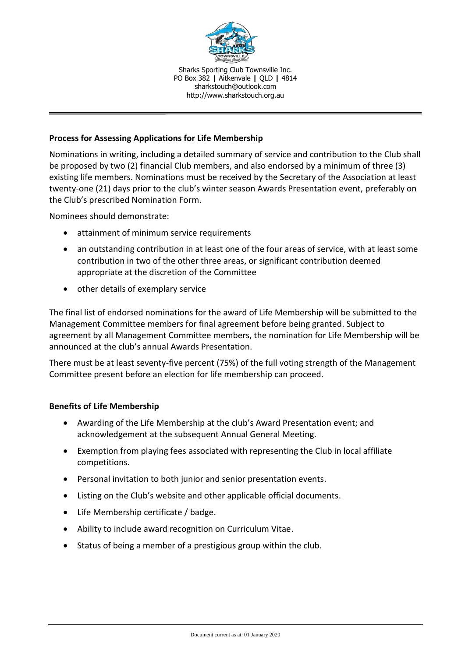

#### **Process for Assessing Applications for Life Membership**

Nominations in writing, including a detailed summary of service and contribution to the Club shall be proposed by two (2) financial Club members, and also endorsed by a minimum of three (3) existing life members. Nominations must be received by the Secretary of the Association at least twenty-one (21) days prior to the club's winter season Awards Presentation event, preferably on the Club's prescribed Nomination Form.

Nominees should demonstrate:

- attainment of minimum service requirements
- an outstanding contribution in at least one of the four areas of service, with at least some contribution in two of the other three areas, or significant contribution deemed appropriate at the discretion of the Committee
- other details of exemplary service

The final list of endorsed nominations for the award of Life Membership will be submitted to the Management Committee members for final agreement before being granted. Subject to agreement by all Management Committee members, the nomination for Life Membership will be announced at the club's annual Awards Presentation.

There must be at least seventy-five percent (75%) of the full voting strength of the Management Committee present before an election for life membership can proceed.

#### **Benefits of Life Membership**

- Awarding of the Life Membership at the club's Award Presentation event; and acknowledgement at the subsequent Annual General Meeting.
- Exemption from playing fees associated with representing the Club in local affiliate competitions.
- Personal invitation to both junior and senior presentation events.
- Listing on the Club's website and other applicable official documents.
- Life Membership certificate / badge.
- Ability to include award recognition on Curriculum Vitae.
- Status of being a member of a prestigious group within the club.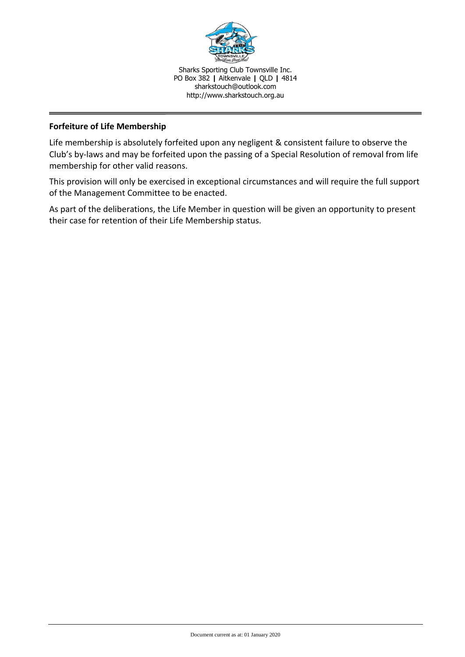

#### **Forfeiture of Life Membership**

Life membership is absolutely forfeited upon any negligent & consistent failure to observe the Club's by-laws and may be forfeited upon the passing of a Special Resolution of removal from life membership for other valid reasons.

This provision will only be exercised in exceptional circumstances and will require the full support of the Management Committee to be enacted.

As part of the deliberations, the Life Member in question will be given an opportunity to present their case for retention of their Life Membership status.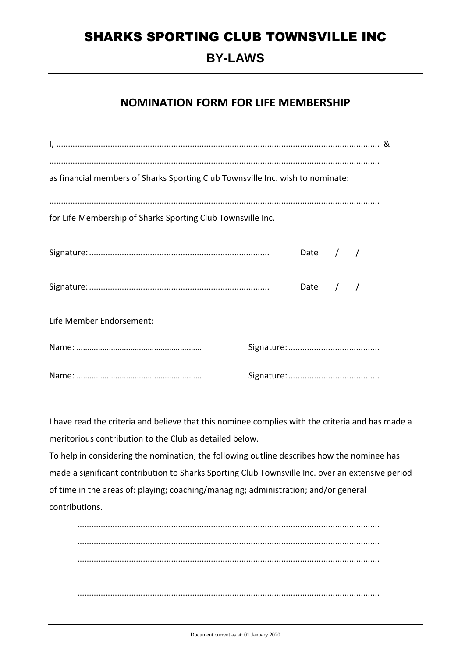# SHARKS SPORTING CLUB TOWNSVILLE INC

### **BY-LAWS**

### **NOMINATION FORM FOR LIFE MEMBERSHIP**

| as financial members of Sharks Sporting Club Townsville Inc. wish to nominate: |  |            |  |  |
|--------------------------------------------------------------------------------|--|------------|--|--|
| for Life Membership of Sharks Sporting Club Townsville Inc.                    |  |            |  |  |
|                                                                                |  | Date $/$ / |  |  |
|                                                                                |  | Date $/$ / |  |  |
| Life Member Endorsement:                                                       |  |            |  |  |
|                                                                                |  |            |  |  |
|                                                                                |  |            |  |  |

I have read the criteria and believe that this nominee complies with the criteria and has made a meritorious contribution to the Club as detailed below.

To help in considering the nomination, the following outline describes how the nominee has made a significant contribution to Sharks Sporting Club Townsville Inc. over an extensive period of time in the areas of: playing; coaching/managing; administration; and/or general contributions.

................................................................................................................................. ................................................................................................................................. ................................................................................................................................. .................................................................................................................................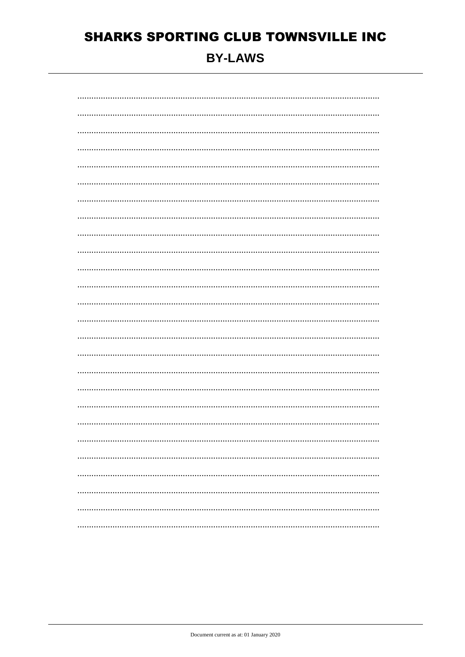## **SHARKS SPORTING CLUB TOWNSVILLE INC BY-LAWS**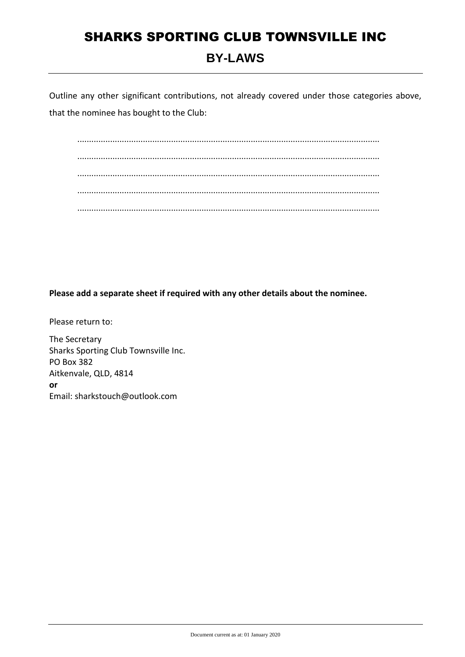## SHARKS SPORTING CLUB TOWNSVILLE INC **BY-LAWS**

Outline any other significant contributions, not already covered under those categories above, that the nominee has bought to the Club:

................................................................................................................................. ................................................................................................................................. ................................................................................................................................. ................................................................................................................................. .................................................................................................................................

**Please add a separate sheet if required with any other details about the nominee.**

Please return to:

The Secretary Sharks Sporting Club Townsville Inc. PO Box 382 Aitkenvale, QLD, 4814 **or** Email: sharkstouch@outlook.com